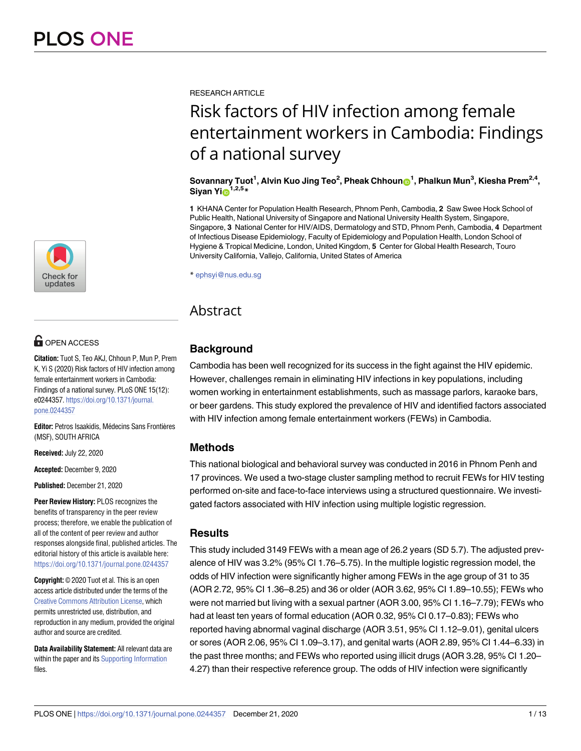

# **OPEN ACCESS**

**Citation:** Tuot S, Teo AKJ, Chhoun P, Mun P, Prem K, Yi S (2020) Risk factors of HIV infection among female entertainment workers in Cambodia: Findings of a national survey. PLoS ONE 15(12): e0244357. [https://doi.org/10.1371/journal.](https://doi.org/10.1371/journal.pone.0244357) [pone.0244357](https://doi.org/10.1371/journal.pone.0244357)

**Editor:** Petros Isaakidis, Médecins Sans Frontières (MSF), SOUTH AFRICA

**Received:** July 22, 2020

**Accepted:** December 9, 2020

**Published:** December 21, 2020

**Peer Review History:** PLOS recognizes the benefits of transparency in the peer review process; therefore, we enable the publication of all of the content of peer review and author responses alongside final, published articles. The editorial history of this article is available here: <https://doi.org/10.1371/journal.pone.0244357>

**Copyright:** © 2020 Tuot et al. This is an open access article distributed under the terms of the Creative Commons [Attribution](http://creativecommons.org/licenses/by/4.0/) License, which permits unrestricted use, distribution, and reproduction in any medium, provided the original author and source are credited.

**Data Availability Statement:** All relevant data are within the paper and its Supporting [Information](#page-9-0) files.

RESEARCH ARTICLE

# Risk factors of HIV infection among female entertainment workers in Cambodia: Findings of a national survey

#### $\,$  Sovannary Tuot $\,1$ , Alvin Kuo Jing Teo $^2$ , Pheak Chhoun $\,$   $\,$   $\,$  , Phalkun Mun $^3$ , Kiesha Prem $^{2,4},$ **Siyan Yi**<sup>1,2,5</sup>**\***

**1** KHANA Center for Population Health Research, Phnom Penh, Cambodia, **2** Saw Swee Hock School of Public Health, National University of Singapore and National University Health System, Singapore, Singapore, **3** National Center for HIV/AIDS, Dermatology and STD, Phnom Penh, Cambodia, **4** Department of Infectious Disease Epidemiology, Faculty of Epidemiology and Population Health, London School of Hygiene & Tropical Medicine, London, United Kingdom, **5** Center for Global Health Research, Touro University California, Vallejo, California, United States of America

\* ephsyi@nus.edu.sg

# Abstract

# **Background**

Cambodia has been well recognized for its success in the fight against the HIV epidemic. However, challenges remain in eliminating HIV infections in key populations, including women working in entertainment establishments, such as massage parlors, karaoke bars, or beer gardens. This study explored the prevalence of HIV and identified factors associated with HIV infection among female entertainment workers (FEWs) in Cambodia.

## **Methods**

This national biological and behavioral survey was conducted in 2016 in Phnom Penh and 17 provinces. We used a two-stage cluster sampling method to recruit FEWs for HIV testing performed on-site and face-to-face interviews using a structured questionnaire. We investigated factors associated with HIV infection using multiple logistic regression.

## **Results**

This study included 3149 FEWs with a mean age of 26.2 years (SD 5.7). The adjusted prevalence of HIV was 3.2% (95% CI 1.76–5.75). In the multiple logistic regression model, the odds of HIV infection were significantly higher among FEWs in the age group of 31 to 35 (AOR 2.72, 95% CI 1.36–8.25) and 36 or older (AOR 3.62, 95% CI 1.89–10.55); FEWs who were not married but living with a sexual partner (AOR 3.00, 95% CI 1.16–7.79); FEWs who had at least ten years of formal education (AOR 0.32, 95% CI 0.17–0.83); FEWs who reported having abnormal vaginal discharge (AOR 3.51, 95% CI 1.12–9.01), genital ulcers or sores (AOR 2.06, 95% CI 1.09–3.17), and genital warts (AOR 2.89, 95% CI 1.44–6.33) in the past three months; and FEWs who reported using illicit drugs (AOR 3.28, 95% CI 1.20– 4.27) than their respective reference group. The odds of HIV infection were significantly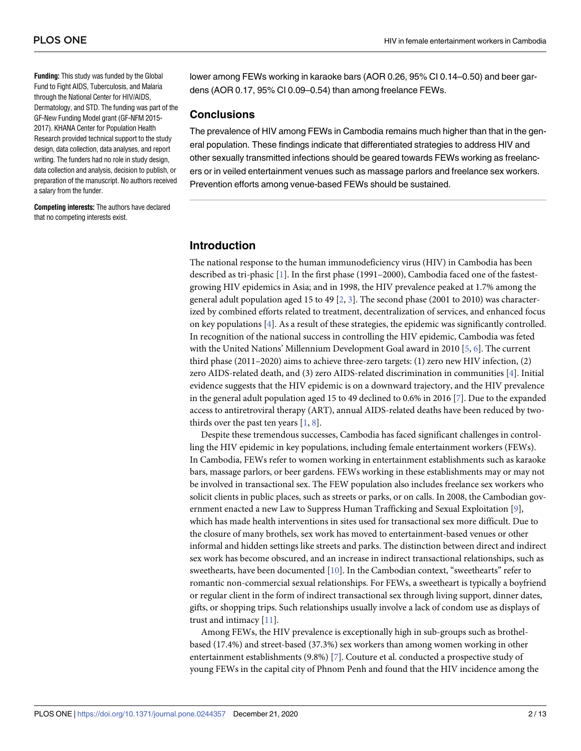<span id="page-1-0"></span>**Funding:** This study was funded by the Global Fund to Fight AIDS, Tuberculosis, and Malaria through the National Center for HIV/AIDS, Dermatology, and STD. The funding was part of the GF-New Funding Model grant (GF-NFM 2015- 2017). KHANA Center for Population Health Research provided technical support to the study design, data collection, data analyses, and report writing. The funders had no role in study design, data collection and analysis, decision to publish, or preparation of the manuscript. No authors received a salary from the funder.

**Competing interests:** The authors have declared that no competing interests exist.

lower among FEWs working in karaoke bars (AOR 0.26, 95% CI 0.14–0.50) and beer gardens (AOR 0.17, 95% CI 0.09–0.54) than among freelance FEWs.

#### **Conclusions**

The prevalence of HIV among FEWs in Cambodia remains much higher than that in the general population. These findings indicate that differentiated strategies to address HIV and other sexually transmitted infections should be geared towards FEWs working as freelancers or in veiled entertainment venues such as massage parlors and freelance sex workers. Prevention efforts among venue-based FEWs should be sustained.

#### **Introduction**

The national response to the human immunodeficiency virus (HIV) in Cambodia has been described as tri-phasic [\[1](#page-10-0)]. In the first phase (1991–2000), Cambodia faced one of the fastestgrowing HIV epidemics in Asia; and in 1998, the HIV prevalence peaked at 1.7% among the general adult population aged 15 to 49 [[2](#page-10-0), [3\]](#page-10-0). The second phase (2001 to 2010) was characterized by combined efforts related to treatment, decentralization of services, and enhanced focus on key populations [\[4](#page-10-0)]. As a result of these strategies, the epidemic was significantly controlled. In recognition of the national success in controlling the HIV epidemic, Cambodia was feted with the United Nations' Millennium Development Goal award in 2010 [[5,](#page-10-0) [6\]](#page-10-0). The current third phase (2011–2020) aims to achieve three-zero targets: (1) zero new HIV infection, (2) zero AIDS-related death, and (3) zero AIDS-related discrimination in communities [[4\]](#page-10-0). Initial evidence suggests that the HIV epidemic is on a downward trajectory, and the HIV prevalence in the general adult population aged 15 to 49 declined to 0.6% in 2016 [\[7\]](#page-11-0). Due to the expanded access to antiretroviral therapy (ART), annual AIDS-related deaths have been reduced by twothirds over the past ten years  $[1, 8]$  $[1, 8]$  $[1, 8]$  $[1, 8]$ .

Despite these tremendous successes, Cambodia has faced significant challenges in controlling the HIV epidemic in key populations, including female entertainment workers (FEWs). In Cambodia, FEWs refer to women working in entertainment establishments such as karaoke bars, massage parlors, or beer gardens. FEWs working in these establishments may or may not be involved in transactional sex. The FEW population also includes freelance sex workers who solicit clients in public places, such as streets or parks, or on calls. In 2008, the Cambodian government enacted a new Law to Suppress Human Trafficking and Sexual Exploitation [[9](#page-11-0)], which has made health interventions in sites used for transactional sex more difficult. Due to the closure of many brothels, sex work has moved to entertainment-based venues or other informal and hidden settings like streets and parks. The distinction between direct and indirect sex work has become obscured, and an increase in indirect transactional relationships, such as sweethearts, have been documented [\[10\]](#page-11-0). In the Cambodian context, "sweethearts" refer to romantic non-commercial sexual relationships. For FEWs, a sweetheart is typically a boyfriend or regular client in the form of indirect transactional sex through living support, dinner dates, gifts, or shopping trips. Such relationships usually involve a lack of condom use as displays of trust and intimacy [[11](#page-11-0)].

Among FEWs, the HIV prevalence is exceptionally high in sub-groups such as brothelbased (17.4%) and street-based (37.3%) sex workers than among women working in other entertainment establishments (9.8%) [[7\]](#page-11-0). Couture et al. conducted a prospective study of young FEWs in the capital city of Phnom Penh and found that the HIV incidence among the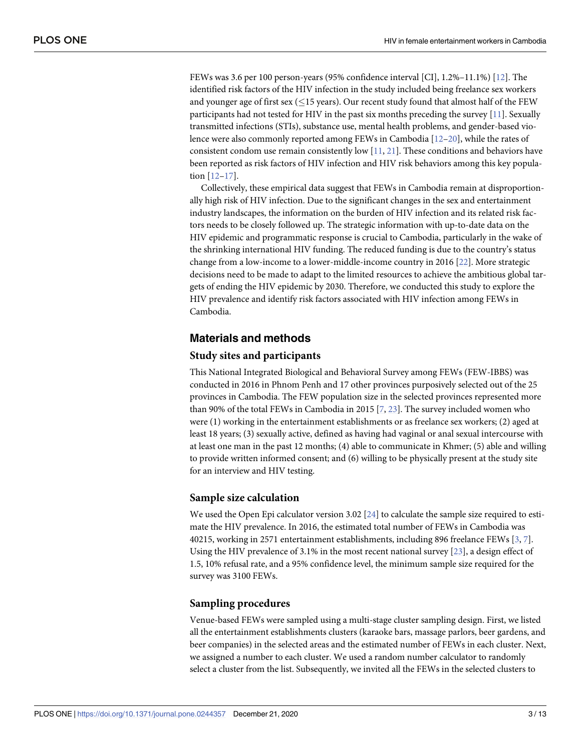<span id="page-2-0"></span>FEWs was 3.6 per 100 person-years (95% confidence interval [CI], 1.2%–11.1%) [[12](#page-11-0)]. The identified risk factors of the HIV infection in the study included being freelance sex workers and younger age of first sex ( $\leq$ 15 years). Our recent study found that almost half of the FEW participants had not tested for HIV in the past six months preceding the survey [\[11\]](#page-11-0). Sexually transmitted infections (STIs), substance use, mental health problems, and gender-based violence were also commonly reported among FEWs in Cambodia [[12–20\]](#page-11-0), while the rates of consistent condom use remain consistently low  $[11, 21]$  $[11, 21]$  $[11, 21]$  $[11, 21]$  $[11, 21]$ . These conditions and behaviors have been reported as risk factors of HIV infection and HIV risk behaviors among this key population [[12](#page-11-0)–[17\]](#page-11-0).

Collectively, these empirical data suggest that FEWs in Cambodia remain at disproportionally high risk of HIV infection. Due to the significant changes in the sex and entertainment industry landscapes, the information on the burden of HIV infection and its related risk factors needs to be closely followed up. The strategic information with up-to-date data on the HIV epidemic and programmatic response is crucial to Cambodia, particularly in the wake of the shrinking international HIV funding. The reduced funding is due to the country's status change from a low-income to a lower-middle-income country in 2016 [[22](#page-11-0)]. More strategic decisions need to be made to adapt to the limited resources to achieve the ambitious global targets of ending the HIV epidemic by 2030. Therefore, we conducted this study to explore the HIV prevalence and identify risk factors associated with HIV infection among FEWs in Cambodia.

#### **Materials and methods**

#### **Study sites and participants**

This National Integrated Biological and Behavioral Survey among FEWs (FEW-IBBS) was conducted in 2016 in Phnom Penh and 17 other provinces purposively selected out of the 25 provinces in Cambodia. The FEW population size in the selected provinces represented more than 90% of the total FEWs in Cambodia in 2015 [\[7,](#page-11-0) [23\]](#page-11-0). The survey included women who were (1) working in the entertainment establishments or as freelance sex workers; (2) aged at least 18 years; (3) sexually active, defined as having had vaginal or anal sexual intercourse with at least one man in the past 12 months; (4) able to communicate in Khmer; (5) able and willing to provide written informed consent; and (6) willing to be physically present at the study site for an interview and HIV testing.

#### **Sample size calculation**

We used the Open Epi calculator version 3.02 [[24](#page-11-0)] to calculate the sample size required to estimate the HIV prevalence. In 2016, the estimated total number of FEWs in Cambodia was 40215, working in 2571 entertainment establishments, including 896 freelance FEWs [[3](#page-10-0), [7\]](#page-11-0). Using the HIV prevalence of 3.1% in the most recent national survey [\[23\]](#page-11-0), a design effect of 1.5, 10% refusal rate, and a 95% confidence level, the minimum sample size required for the survey was 3100 FEWs.

#### **Sampling procedures**

Venue-based FEWs were sampled using a multi-stage cluster sampling design. First, we listed all the entertainment establishments clusters (karaoke bars, massage parlors, beer gardens, and beer companies) in the selected areas and the estimated number of FEWs in each cluster. Next, we assigned a number to each cluster. We used a random number calculator to randomly select a cluster from the list. Subsequently, we invited all the FEWs in the selected clusters to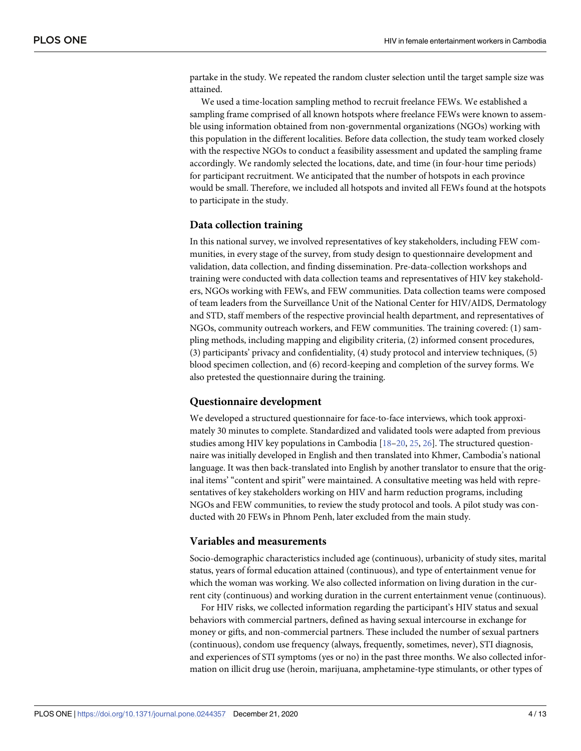<span id="page-3-0"></span>partake in the study. We repeated the random cluster selection until the target sample size was attained.

We used a time-location sampling method to recruit freelance FEWs. We established a sampling frame comprised of all known hotspots where freelance FEWs were known to assemble using information obtained from non-governmental organizations (NGOs) working with this population in the different localities. Before data collection, the study team worked closely with the respective NGOs to conduct a feasibility assessment and updated the sampling frame accordingly. We randomly selected the locations, date, and time (in four-hour time periods) for participant recruitment. We anticipated that the number of hotspots in each province would be small. Therefore, we included all hotspots and invited all FEWs found at the hotspots to participate in the study.

#### **Data collection training**

In this national survey, we involved representatives of key stakeholders, including FEW communities, in every stage of the survey, from study design to questionnaire development and validation, data collection, and finding dissemination. Pre-data-collection workshops and training were conducted with data collection teams and representatives of HIV key stakeholders, NGOs working with FEWs, and FEW communities. Data collection teams were composed of team leaders from the Surveillance Unit of the National Center for HIV/AIDS, Dermatology and STD, staff members of the respective provincial health department, and representatives of NGOs, community outreach workers, and FEW communities. The training covered: (1) sampling methods, including mapping and eligibility criteria, (2) informed consent procedures, (3) participants' privacy and confidentiality, (4) study protocol and interview techniques, (5) blood specimen collection, and (6) record-keeping and completion of the survey forms. We also pretested the questionnaire during the training.

#### **Questionnaire development**

We developed a structured questionnaire for face-to-face interviews, which took approximately 30 minutes to complete. Standardized and validated tools were adapted from previous studies among HIV key populations in Cambodia [\[18–20](#page-11-0), [25](#page-11-0), [26](#page-11-0)]. The structured questionnaire was initially developed in English and then translated into Khmer, Cambodia's national language. It was then back-translated into English by another translator to ensure that the original items' "content and spirit" were maintained. A consultative meeting was held with representatives of key stakeholders working on HIV and harm reduction programs, including NGOs and FEW communities, to review the study protocol and tools. A pilot study was conducted with 20 FEWs in Phnom Penh, later excluded from the main study.

#### **Variables and measurements**

Socio-demographic characteristics included age (continuous), urbanicity of study sites, marital status, years of formal education attained (continuous), and type of entertainment venue for which the woman was working. We also collected information on living duration in the current city (continuous) and working duration in the current entertainment venue (continuous).

For HIV risks, we collected information regarding the participant's HIV status and sexual behaviors with commercial partners, defined as having sexual intercourse in exchange for money or gifts, and non-commercial partners. These included the number of sexual partners (continuous), condom use frequency (always, frequently, sometimes, never), STI diagnosis, and experiences of STI symptoms (yes or no) in the past three months. We also collected information on illicit drug use (heroin, marijuana, amphetamine-type stimulants, or other types of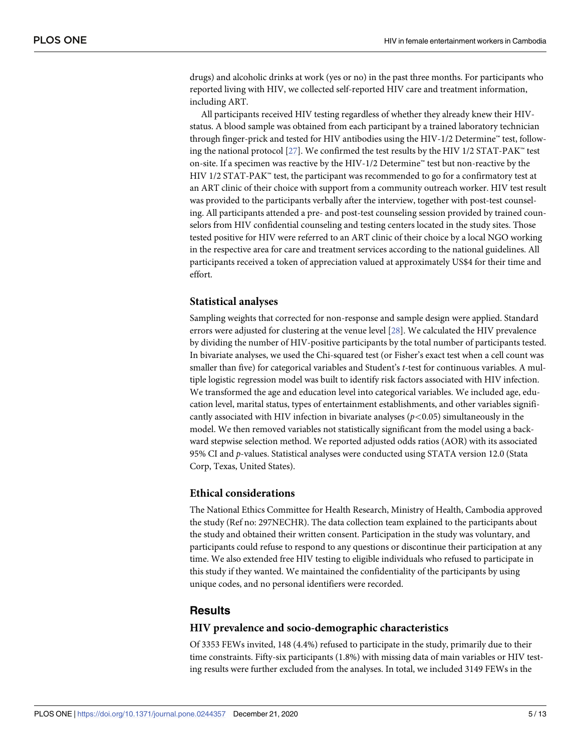<span id="page-4-0"></span>drugs) and alcoholic drinks at work (yes or no) in the past three months. For participants who reported living with HIV, we collected self-reported HIV care and treatment information, including ART.

All participants received HIV testing regardless of whether they already knew their HIVstatus. A blood sample was obtained from each participant by a trained laboratory technician through finger-prick and tested for HIV antibodies using the HIV-1/2 Determine™ test, following the national protocol [\[27\]](#page-12-0). We confirmed the test results by the HIV 1/2 STAT-PAK™ test on-site. If a specimen was reactive by the HIV-1/2 Determine™ test but non-reactive by the HIV  $1/2$  STAT-PAK<sup> $<sub>m</sub>$ </sup> test, the participant was recommended to go for a confirmatory test at</sup></sub> an ART clinic of their choice with support from a community outreach worker. HIV test result was provided to the participants verbally after the interview, together with post-test counseling. All participants attended a pre- and post-test counseling session provided by trained counselors from HIV confidential counseling and testing centers located in the study sites. Those tested positive for HIV were referred to an ART clinic of their choice by a local NGO working in the respective area for care and treatment services according to the national guidelines. All participants received a token of appreciation valued at approximately US\$4 for their time and effort.

#### **Statistical analyses**

Sampling weights that corrected for non-response and sample design were applied. Standard errors were adjusted for clustering at the venue level [\[28\]](#page-12-0). We calculated the HIV prevalence by dividing the number of HIV-positive participants by the total number of participants tested. In bivariate analyses, we used the Chi-squared test (or Fisher's exact test when a cell count was smaller than five) for categorical variables and Student's *t*-test for continuous variables. A multiple logistic regression model was built to identify risk factors associated with HIV infection. We transformed the age and education level into categorical variables. We included age, education level, marital status, types of entertainment establishments, and other variables significantly associated with HIV infection in bivariate analyses (*p<*0.05) simultaneously in the model. We then removed variables not statistically significant from the model using a backward stepwise selection method. We reported adjusted odds ratios (AOR) with its associated 95% CI and *p*-values. Statistical analyses were conducted using STATA version 12.0 (Stata Corp, Texas, United States).

#### **Ethical considerations**

The National Ethics Committee for Health Research, Ministry of Health, Cambodia approved the study (Ref no: 297NECHR). The data collection team explained to the participants about the study and obtained their written consent. Participation in the study was voluntary, and participants could refuse to respond to any questions or discontinue their participation at any time. We also extended free HIV testing to eligible individuals who refused to participate in this study if they wanted. We maintained the confidentiality of the participants by using unique codes, and no personal identifiers were recorded.

#### **Results**

#### **HIV prevalence and socio-demographic characteristics**

Of 3353 FEWs invited, 148 (4.4%) refused to participate in the study, primarily due to their time constraints. Fifty-six participants (1.8%) with missing data of main variables or HIV testing results were further excluded from the analyses. In total, we included 3149 FEWs in the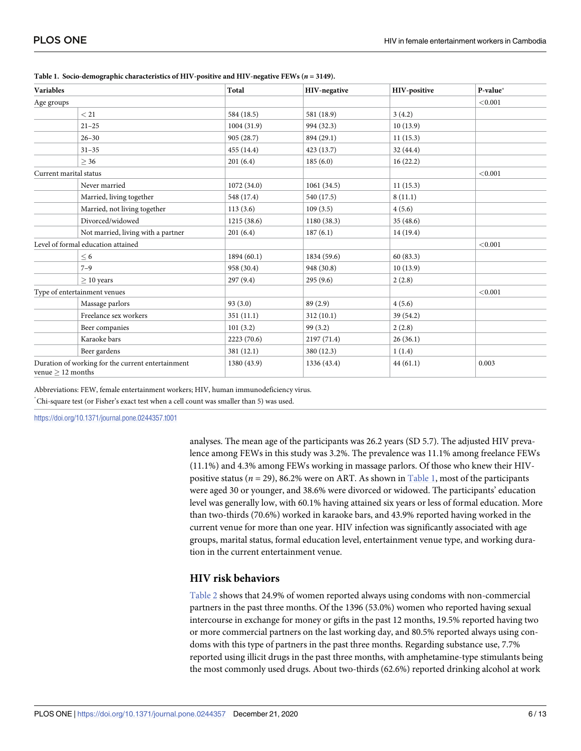| <b>Variables</b><br>Age groups                                           |                                    | Total       | HIV-negative | HIV-positive | P-value* |
|--------------------------------------------------------------------------|------------------------------------|-------------|--------------|--------------|----------|
|                                                                          |                                    |             |              |              | < 0.001  |
|                                                                          | < 21                               | 584 (18.5)  | 581 (18.9)   | 3(4.2)       |          |
|                                                                          | $21 - 25$                          | 1004(31.9)  | 994 (32.3)   | 10(13.9)     |          |
|                                                                          | $26 - 30$                          | 905 (28.7)  | 894 (29.1)   | 11(15.3)     |          |
|                                                                          | $31 - 35$                          | 455 (14.4)  | 423(13.7)    | 32 (44.4)    |          |
|                                                                          | > 36                               | 201(6.4)    | 185(6.0)     | 16(22.2)     |          |
| Current marital status                                                   |                                    |             |              |              | < 0.001  |
|                                                                          | Never married                      | 1072 (34.0) | 1061(34.5)   | 11(15.3)     |          |
|                                                                          | Married, living together           | 548 (17.4)  | 540 (17.5)   | 8(11.1)      |          |
|                                                                          | Married, not living together       | 113(3.6)    | 109(3.5)     | 4(5.6)       |          |
|                                                                          | Divorced/widowed                   | 1215(38.6)  | 1180 (38.3)  | 35(48.6)     |          |
|                                                                          | Not married, living with a partner | 201(6.4)    | 187(6.1)     | 14 (19.4)    |          |
| Level of formal education attained                                       |                                    |             |              |              | < 0.001  |
|                                                                          | $\leq 6$                           | 1894 (60.1) | 1834 (59.6)  | 60(83.3)     |          |
|                                                                          | $7 - 9$                            | 958 (30.4)  | 948 (30.8)   | 10(13.9)     |          |
|                                                                          | $> 10$ years                       | 297(9.4)    | 295(9.6)     | 2(2.8)       |          |
| Type of entertainment venues                                             |                                    |             |              |              | < 0.001  |
|                                                                          | Massage parlors                    | 93(3.0)     | 89 (2.9)     | 4(5.6)       |          |
|                                                                          | Freelance sex workers              | 351(11.1)   | 312(10.1)    | 39 (54.2)    |          |
|                                                                          | Beer companies                     | 101(3.2)    | 99(3.2)      | 2(2.8)       |          |
|                                                                          | Karaoke bars                       | 2223 (70.6) | 2197 (71.4)  | 26(36.1)     |          |
|                                                                          | Beer gardens                       | 381 (12.1)  | 380 (12.3)   | 1(1.4)       |          |
| Duration of working for the current entertainment<br>venue $> 12$ months |                                    | 1380 (43.9) | 1336 (43.4)  | 44(61.1)     | 0.003    |

<span id="page-5-0"></span>**Table 1. Socio-demographic characteristics of HIV-positive and HIV-negative FEWs (***n* **= 3149).**

Abbreviations: FEW, female entertainment workers; HIV, human immunodeficiency virus.

� Chi-square test (or Fisher's exact test when a cell count was smaller than 5) was used.

<https://doi.org/10.1371/journal.pone.0244357.t001>

analyses. The mean age of the participants was 26.2 years (SD 5.7). The adjusted HIV prevalence among FEWs in this study was 3.2%. The prevalence was 11.1% among freelance FEWs (11.1%) and 4.3% among FEWs working in massage parlors. Of those who knew their HIVpositive status (*n* = 29), 86.2% were on ART. As shown in Table 1, most of the participants were aged 30 or younger, and 38.6% were divorced or widowed. The participants' education level was generally low, with 60.1% having attained six years or less of formal education. More than two-thirds (70.6%) worked in karaoke bars, and 43.9% reported having worked in the current venue for more than one year. HIV infection was significantly associated with age groups, marital status, formal education level, entertainment venue type, and working duration in the current entertainment venue.

#### **HIV risk behaviors**

[Table](#page-6-0) 2 shows that 24.9% of women reported always using condoms with non-commercial partners in the past three months. Of the 1396 (53.0%) women who reported having sexual intercourse in exchange for money or gifts in the past 12 months, 19.5% reported having two or more commercial partners on the last working day, and 80.5% reported always using condoms with this type of partners in the past three months. Regarding substance use, 7.7% reported using illicit drugs in the past three months, with amphetamine-type stimulants being the most commonly used drugs. About two-thirds (62.6%) reported drinking alcohol at work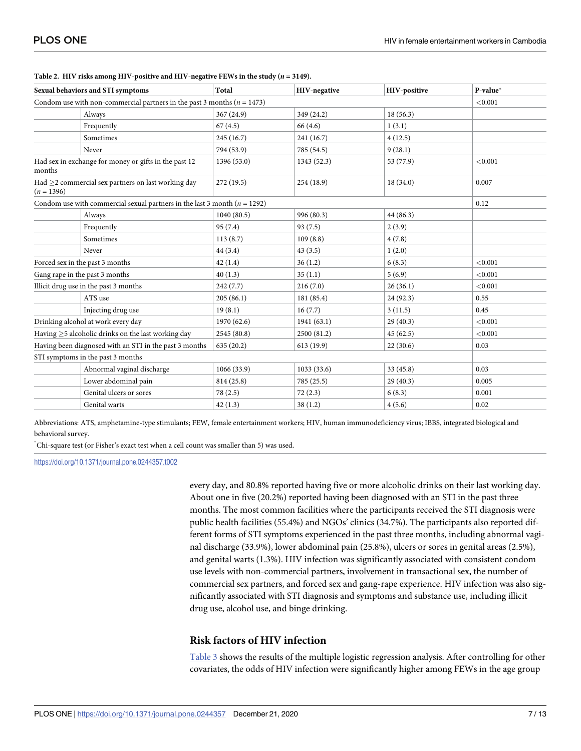| Sexual behaviors and STI symptoms                                             |                                                                             | Total       | HIV-negative | HIV-positive | P-value* |
|-------------------------------------------------------------------------------|-----------------------------------------------------------------------------|-------------|--------------|--------------|----------|
|                                                                               | Condom use with non-commercial partners in the past 3 months ( $n = 1473$ ) |             |              | < 0.001      |          |
|                                                                               | Always                                                                      | 367 (24.9)  | 349 (24.2)   | 18(56.3)     |          |
|                                                                               | Frequently                                                                  | 67(4.5)     | 66 (4.6)     | 1(3.1)       |          |
|                                                                               | Sometimes                                                                   | 245 (16.7)  | 241 (16.7)   | 4(12.5)      |          |
|                                                                               | Never                                                                       | 794 (53.9)  | 785 (54.5)   | 9(28.1)      |          |
| Had sex in exchange for money or gifts in the past 12<br>months               |                                                                             | 1396 (53.0) | 1343 (52.3)  | 53 (77.9)    | < 0.001  |
| Had $\geq$ 2 commercial sex partners on last working day<br>$(n = 1396)$      |                                                                             | 272(19.5)   | 254(18.9)    | 18(34.0)     | 0.007    |
| Condom use with commercial sexual partners in the last 3 month ( $n = 1292$ ) |                                                                             |             |              | 0.12         |          |
|                                                                               | Always                                                                      | 1040(80.5)  | 996 (80.3)   | 44(86.3)     |          |
|                                                                               | Frequently                                                                  | 95 (7.4)    | 93(7.5)      | 2(3.9)       |          |
|                                                                               | Sometimes                                                                   | 113(8.7)    | 109(8.8)     | 4(7.8)       |          |
|                                                                               | Never                                                                       | 44(3.4)     | 43(3.5)      | 1(2.0)       |          |
| Forced sex in the past 3 months                                               |                                                                             | 42(1.4)     | 36(1.2)      | 6(8.3)       | < 0.001  |
| Gang rape in the past 3 months                                                |                                                                             | 40(1.3)     | 35(1.1)      | 5(6.9)       | < 0.001  |
| Illicit drug use in the past 3 months                                         |                                                                             | 242(7.7)    | 216(7.0)     | 26(36.1)     | < 0.001  |
|                                                                               | ATS use                                                                     | 205(86.1)   | 181 (85.4)   | 24(92.3)     | 0.55     |
|                                                                               | Injecting drug use                                                          | 19(8.1)     | 16(7.7)      | 3(11.5)      | 0.45     |
| Drinking alcohol at work every day                                            |                                                                             | 1970 (62.6) | 1941(63.1)   | 29(40.3)     | < 0.001  |
| Having >5 alcoholic drinks on the last working day                            |                                                                             | 2545 (80.8) | 2500 (81.2)  | 45(62.5)     | < 0.001  |
| Having been diagnosed with an STI in the past 3 months                        |                                                                             | 635(20.2)   | 613(19.9)    | 22(30.6)     | 0.03     |
|                                                                               | STI symptoms in the past 3 months                                           |             |              |              |          |
|                                                                               | Abnormal vaginal discharge                                                  | 1066(33.9)  | 1033 (33.6)  | 33 (45.8)    | 0.03     |
|                                                                               | Lower abdominal pain                                                        | 814 (25.8)  | 785 (25.5)   | 29(40.3)     | 0.005    |
|                                                                               | Genital ulcers or sores                                                     | 78 (2.5)    | 72(2.3)      | 6(8.3)       | 0.001    |
|                                                                               | Genital warts                                                               | 42(1.3)     | 38(1.2)      | 4(5.6)       | 0.02     |
|                                                                               |                                                                             |             |              |              |          |

<span id="page-6-0"></span>

|  |  |  |  | Table 2. HIV risks among HIV-positive and HIV-negative FEWs in the study ( $n = 3149$ ). |
|--|--|--|--|------------------------------------------------------------------------------------------|
|--|--|--|--|------------------------------------------------------------------------------------------|

Abbreviations: ATS, amphetamine-type stimulants; FEW, female entertainment workers; HIV, human immunodeficiency virus; IBBS, integrated biological and behavioral survey.

� Chi-square test (or Fisher's exact test when a cell count was smaller than 5) was used.

<https://doi.org/10.1371/journal.pone.0244357.t002>

every day, and 80.8% reported having five or more alcoholic drinks on their last working day. About one in five (20.2%) reported having been diagnosed with an STI in the past three months. The most common facilities where the participants received the STI diagnosis were public health facilities (55.4%) and NGOs' clinics (34.7%). The participants also reported different forms of STI symptoms experienced in the past three months, including abnormal vaginal discharge (33.9%), lower abdominal pain (25.8%), ulcers or sores in genital areas (2.5%), and genital warts (1.3%). HIV infection was significantly associated with consistent condom use levels with non-commercial partners, involvement in transactional sex, the number of commercial sex partners, and forced sex and gang-rape experience. HIV infection was also significantly associated with STI diagnosis and symptoms and substance use, including illicit drug use, alcohol use, and binge drinking.

#### **Risk factors of HIV infection**

[Table](#page-7-0) 3 shows the results of the multiple logistic regression analysis. After controlling for other covariates, the odds of HIV infection were significantly higher among FEWs in the age group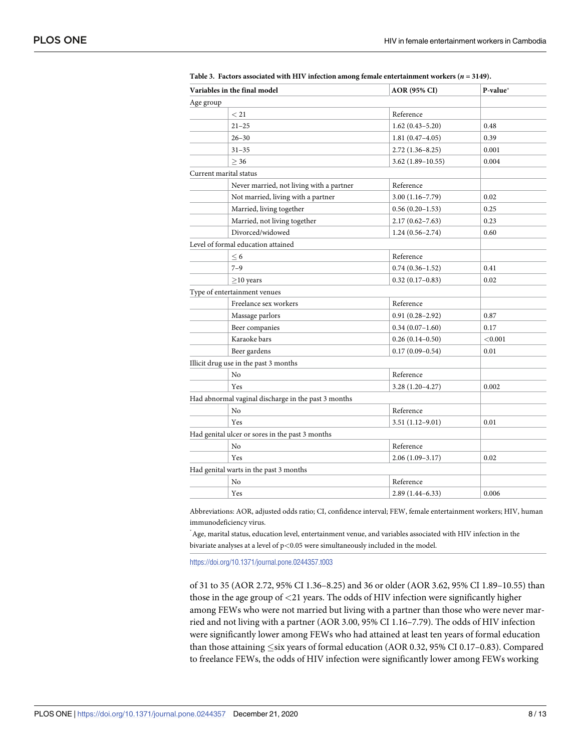| Variables in the final model |                                                     | <b>AOR (95% CI)</b> | P-value* |
|------------------------------|-----------------------------------------------------|---------------------|----------|
| Age group                    |                                                     |                     |          |
|                              | < 21                                                | Reference           |          |
|                              | $21 - 25$                                           | $1.62(0.43 - 5.20)$ | 0.48     |
|                              | $26 - 30$                                           | $1.81(0.47 - 4.05)$ | 0.39     |
|                              | $31 - 35$                                           | $2.72(1.36 - 8.25)$ | 0.001    |
|                              | > 36                                                | 3.62 (1.89–10.55)   | 0.004    |
|                              | Current marital status                              |                     |          |
|                              | Never married, not living with a partner            | Reference           |          |
|                              | Not married, living with a partner                  | $3.00(1.16 - 7.79)$ | 0.02     |
|                              | Married, living together                            | $0.56(0.20-1.53)$   | 0.25     |
|                              | Married, not living together                        | $2.17(0.62 - 7.63)$ | 0.23     |
|                              | Divorced/widowed                                    | $1.24(0.56 - 2.74)$ | 0.60     |
|                              | Level of formal education attained                  |                     |          |
|                              | $\leq 6$                                            | Reference           |          |
|                              | $7 - 9$                                             | $0.74(0.36 - 1.52)$ | 0.41     |
|                              | $\geq$ 10 years                                     | $0.32(0.17-0.83)$   | 0.02     |
|                              | Type of entertainment venues                        |                     |          |
|                              | Freelance sex workers                               | Reference           |          |
|                              | Massage parlors                                     | $0.91(0.28 - 2.92)$ | 0.87     |
|                              | Beer companies                                      | $0.34(0.07-1.60)$   | 0.17     |
|                              | Karaoke bars                                        | $0.26(0.14 - 0.50)$ | < 0.001  |
|                              | Beer gardens                                        | $0.17(0.09 - 0.54)$ | 0.01     |
|                              | Illicit drug use in the past 3 months               |                     |          |
|                              | No                                                  | Reference           |          |
|                              | Yes                                                 | $3.28(1.20-4.27)$   | 0.002    |
|                              | Had abnormal vaginal discharge in the past 3 months |                     |          |
|                              | N <sub>o</sub>                                      | Reference           |          |
|                              | Yes                                                 | $3.51(1.12 - 9.01)$ | 0.01     |
|                              | Had genital ulcer or sores in the past 3 months     |                     |          |
|                              | No                                                  | Reference           |          |
|                              | Yes                                                 | $2.06(1.09-3.17)$   | 0.02     |
|                              | Had genital warts in the past 3 months              |                     |          |
|                              | No                                                  | Reference           |          |
|                              | Yes                                                 | $2.89(1.44 - 6.33)$ | 0.006    |
|                              |                                                     |                     |          |

<span id="page-7-0"></span>**[Table](#page-6-0) 3. Factors associated with HIV infection among female entertainment workers (***n* **= 3149).**

Abbreviations: AOR, adjusted odds ratio; CI, confidence interval; FEW, female entertainment workers; HIV, human immunodeficiency virus.

 $\,$  Age, marital status, education level, entertainment venue, and variables associated with HIV infection in the bivariate analyses at a level of p*<*0.05 were simultaneously included in the model.

<https://doi.org/10.1371/journal.pone.0244357.t003>

of 31 to 35 (AOR 2.72, 95% CI 1.36–8.25) and 36 or older (AOR 3.62, 95% CI 1.89–10.55) than those in the age group of *<*21 years. The odds of HIV infection were significantly higher among FEWs who were not married but living with a partner than those who were never married and not living with a partner (AOR 3.00, 95% CI 1.16–7.79). The odds of HIV infection were significantly lower among FEWs who had attained at least ten years of formal education than those attaining  $\leq$ six years of formal education (AOR 0.32, 95% CI 0.17–0.83). Compared to freelance FEWs, the odds of HIV infection were significantly lower among FEWs working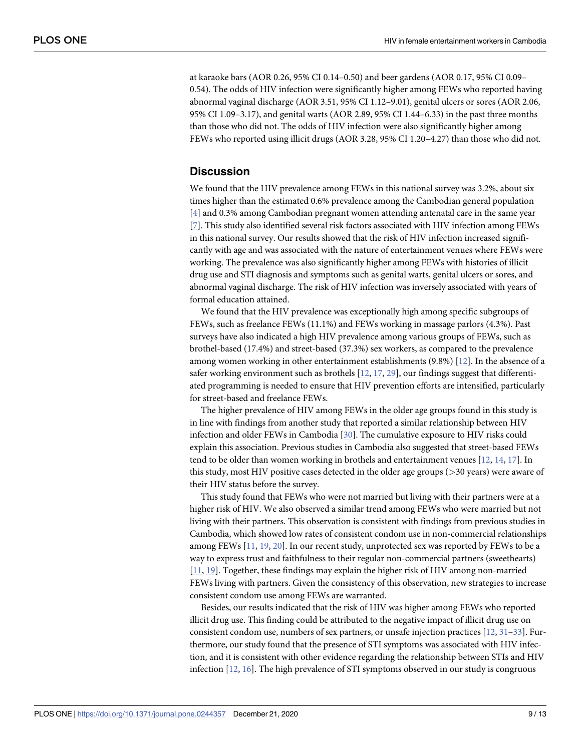<span id="page-8-0"></span>at karaoke bars (AOR 0.26, 95% CI 0.14–0.50) and beer gardens (AOR 0.17, 95% CI 0.09– 0.54). The odds of HIV infection were significantly higher among FEWs who reported having abnormal vaginal discharge (AOR 3.51, 95% CI 1.12–9.01), genital ulcers or sores (AOR 2.06, 95% CI 1.09–3.17), and genital warts (AOR 2.89, 95% CI 1.44–6.33) in the past three months than those who did not. The odds of HIV infection were also significantly higher among FEWs who reported using illicit drugs (AOR 3.28, 95% CI 1.20–4.27) than those who did not.

## **Discussion**

We found that the HIV prevalence among FEWs in this national survey was 3.2%, about six times higher than the estimated 0.6% prevalence among the Cambodian general population [\[4](#page-10-0)] and 0.3% among Cambodian pregnant women attending antenatal care in the same year [\[7](#page-11-0)]. This study also identified several risk factors associated with HIV infection among FEWs in this national survey. Our results showed that the risk of HIV infection increased significantly with age and was associated with the nature of entertainment venues where FEWs were working. The prevalence was also significantly higher among FEWs with histories of illicit drug use and STI diagnosis and symptoms such as genital warts, genital ulcers or sores, and abnormal vaginal discharge. The risk of HIV infection was inversely associated with years of formal education attained.

We found that the HIV prevalence was exceptionally high among specific subgroups of FEWs, such as freelance FEWs (11.1%) and FEWs working in massage parlors (4.3%). Past surveys have also indicated a high HIV prevalence among various groups of FEWs, such as brothel-based (17.4%) and street-based (37.3%) sex workers, as compared to the prevalence among women working in other entertainment establishments (9.8%) [\[12\]](#page-11-0). In the absence of a safer working environment such as brothels  $[12, 17, 29]$  $[12, 17, 29]$  $[12, 17, 29]$  $[12, 17, 29]$  $[12, 17, 29]$  $[12, 17, 29]$  $[12, 17, 29]$ , our findings suggest that differentiated programming is needed to ensure that HIV prevention efforts are intensified, particularly for street-based and freelance FEWs.

The higher prevalence of HIV among FEWs in the older age groups found in this study is in line with findings from another study that reported a similar relationship between HIV infection and older FEWs in Cambodia [\[30\]](#page-12-0). The cumulative exposure to HIV risks could explain this association. Previous studies in Cambodia also suggested that street-based FEWs tend to be older than women working in brothels and entertainment venues [\[12,](#page-11-0) [14,](#page-11-0) [17\]](#page-11-0). In this study, most HIV positive cases detected in the older age groups (*>*30 years) were aware of their HIV status before the survey.

This study found that FEWs who were not married but living with their partners were at a higher risk of HIV. We also observed a similar trend among FEWs who were married but not living with their partners. This observation is consistent with findings from previous studies in Cambodia, which showed low rates of consistent condom use in non-commercial relationships among FEWs [[11](#page-11-0), [19](#page-11-0), [20](#page-11-0)]. In our recent study, unprotected sex was reported by FEWs to be a way to express trust and faithfulness to their regular non-commercial partners (sweethearts) [\[11,](#page-11-0) [19\]](#page-11-0). Together, these findings may explain the higher risk of HIV among non-married FEWs living with partners. Given the consistency of this observation, new strategies to increase consistent condom use among FEWs are warranted.

Besides, our results indicated that the risk of HIV was higher among FEWs who reported illicit drug use. This finding could be attributed to the negative impact of illicit drug use on consistent condom use, numbers of sex partners, or unsafe injection practices [\[12,](#page-11-0) [31–33](#page-12-0)]. Furthermore, our study found that the presence of STI symptoms was associated with HIV infection, and it is consistent with other evidence regarding the relationship between STIs and HIV infection [\[12,](#page-11-0) [16\]](#page-11-0). The high prevalence of STI symptoms observed in our study is congruous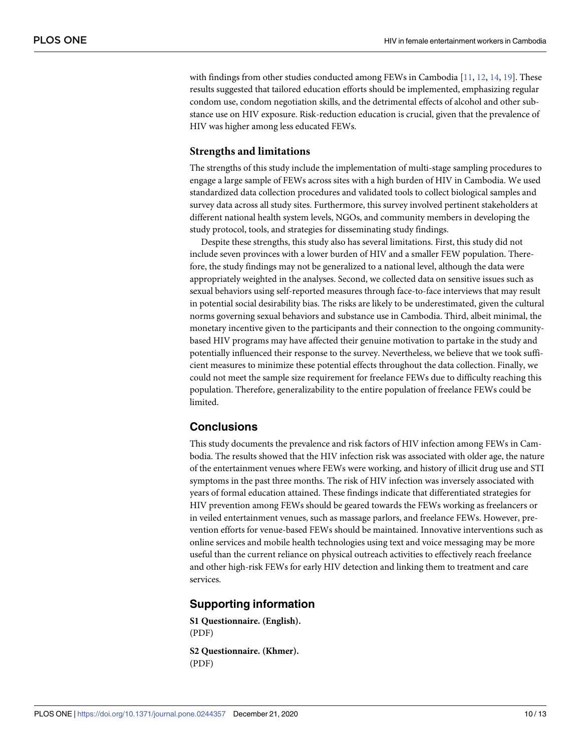<span id="page-9-0"></span>with findings from other studies conducted among FEWs in Cambodia [[11](#page-11-0), [12,](#page-11-0) [14,](#page-11-0) [19\]](#page-11-0). These results suggested that tailored education efforts should be implemented, emphasizing regular condom use, condom negotiation skills, and the detrimental effects of alcohol and other substance use on HIV exposure. Risk-reduction education is crucial, given that the prevalence of HIV was higher among less educated FEWs.

#### **Strengths and limitations**

The strengths of this study include the implementation of multi-stage sampling procedures to engage a large sample of FEWs across sites with a high burden of HIV in Cambodia. We used standardized data collection procedures and validated tools to collect biological samples and survey data across all study sites. Furthermore, this survey involved pertinent stakeholders at different national health system levels, NGOs, and community members in developing the study protocol, tools, and strategies for disseminating study findings.

Despite these strengths, this study also has several limitations. First, this study did not include seven provinces with a lower burden of HIV and a smaller FEW population. Therefore, the study findings may not be generalized to a national level, although the data were appropriately weighted in the analyses. Second, we collected data on sensitive issues such as sexual behaviors using self-reported measures through face-to-face interviews that may result in potential social desirability bias. The risks are likely to be underestimated, given the cultural norms governing sexual behaviors and substance use in Cambodia. Third, albeit minimal, the monetary incentive given to the participants and their connection to the ongoing communitybased HIV programs may have affected their genuine motivation to partake in the study and potentially influenced their response to the survey. Nevertheless, we believe that we took sufficient measures to minimize these potential effects throughout the data collection. Finally, we could not meet the sample size requirement for freelance FEWs due to difficulty reaching this population. Therefore, generalizability to the entire population of freelance FEWs could be limited.

#### **Conclusions**

This study documents the prevalence and risk factors of HIV infection among FEWs in Cambodia. The results showed that the HIV infection risk was associated with older age, the nature of the entertainment venues where FEWs were working, and history of illicit drug use and STI symptoms in the past three months. The risk of HIV infection was inversely associated with years of formal education attained. These findings indicate that differentiated strategies for HIV prevention among FEWs should be geared towards the FEWs working as freelancers or in veiled entertainment venues, such as massage parlors, and freelance FEWs. However, prevention efforts for venue-based FEWs should be maintained. Innovative interventions such as online services and mobile health technologies using text and voice messaging may be more useful than the current reliance on physical outreach activities to effectively reach freelance and other high-risk FEWs for early HIV detection and linking them to treatment and care services.

#### **Supporting information**

**S1 [Questionnaire.](http://www.plosone.org/article/fetchSingleRepresentation.action?uri=info:doi/10.1371/journal.pone.0244357.s001) (English).** (PDF) **S2 [Questionnaire.](http://www.plosone.org/article/fetchSingleRepresentation.action?uri=info:doi/10.1371/journal.pone.0244357.s002) (Khmer).**

(PDF)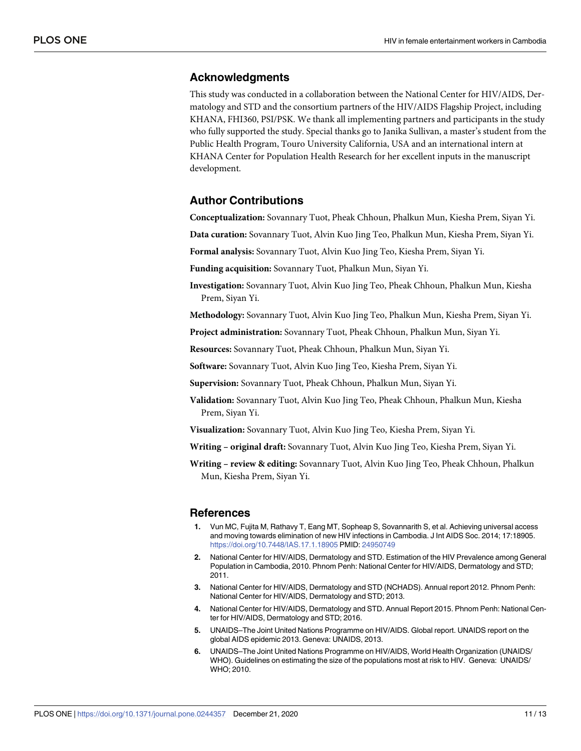#### <span id="page-10-0"></span>**Acknowledgments**

This study was conducted in a collaboration between the National Center for HIV/AIDS, Dermatology and STD and the consortium partners of the HIV/AIDS Flagship Project, including KHANA, FHI360, PSI/PSK. We thank all implementing partners and participants in the study who fully supported the study. Special thanks go to Janika Sullivan, a master's student from the Public Health Program, Touro University California, USA and an international intern at KHANA Center for Population Health Research for her excellent inputs in the manuscript development.

#### **Author Contributions**

**Conceptualization:** Sovannary Tuot, Pheak Chhoun, Phalkun Mun, Kiesha Prem, Siyan Yi.

**Data curation:** Sovannary Tuot, Alvin Kuo Jing Teo, Phalkun Mun, Kiesha Prem, Siyan Yi.

**Formal analysis:** Sovannary Tuot, Alvin Kuo Jing Teo, Kiesha Prem, Siyan Yi.

**Funding acquisition:** Sovannary Tuot, Phalkun Mun, Siyan Yi.

**Investigation:** Sovannary Tuot, Alvin Kuo Jing Teo, Pheak Chhoun, Phalkun Mun, Kiesha Prem, Siyan Yi.

**Methodology:** Sovannary Tuot, Alvin Kuo Jing Teo, Phalkun Mun, Kiesha Prem, Siyan Yi.

**Project administration:** Sovannary Tuot, Pheak Chhoun, Phalkun Mun, Siyan Yi.

**Resources:** Sovannary Tuot, Pheak Chhoun, Phalkun Mun, Siyan Yi.

**Software:** Sovannary Tuot, Alvin Kuo Jing Teo, Kiesha Prem, Siyan Yi.

**Supervision:** Sovannary Tuot, Pheak Chhoun, Phalkun Mun, Siyan Yi.

**Validation:** Sovannary Tuot, Alvin Kuo Jing Teo, Pheak Chhoun, Phalkun Mun, Kiesha Prem, Siyan Yi.

**Visualization:** Sovannary Tuot, Alvin Kuo Jing Teo, Kiesha Prem, Siyan Yi.

**Writing – original draft:** Sovannary Tuot, Alvin Kuo Jing Teo, Kiesha Prem, Siyan Yi.

**Writing – review & editing:** Sovannary Tuot, Alvin Kuo Jing Teo, Pheak Chhoun, Phalkun Mun, Kiesha Prem, Siyan Yi.

#### **References**

- **[1](#page-1-0).** Vun MC, Fujita M, Rathavy T, Eang MT, Sopheap S, Sovannarith S, et al. Achieving universal access and moving towards elimination of new HIV infections in Cambodia. J Int AIDS Soc. 2014; 17:18905. <https://doi.org/10.7448/IAS.17.1.18905> PMID: [24950749](http://www.ncbi.nlm.nih.gov/pubmed/24950749)
- **[2](#page-1-0).** National Center for HIV/AIDS, Dermatology and STD. Estimation of the HIV Prevalence among General Population in Cambodia, 2010. Phnom Penh: National Center for HIV/AIDS, Dermatology and STD; 2011.
- **[3](#page-1-0).** National Center for HIV/AIDS, Dermatology and STD (NCHADS). Annual report 2012. Phnom Penh: National Center for HIV/AIDS, Dermatology and STD; 2013.
- **[4](#page-1-0).** National Center for HIV/AIDS, Dermatology and STD. Annual Report 2015. Phnom Penh: National Center for HIV/AIDS, Dermatology and STD; 2016.
- **[5](#page-1-0).** UNAIDS–The Joint United Nations Programme on HIV/AIDS. Global report. UNAIDS report on the global AIDS epidemic 2013. Geneva: UNAIDS, 2013.
- **[6](#page-1-0).** UNAIDS–The Joint United Nations Programme on HIV/AIDS, World Health Organization (UNAIDS/ WHO). Guidelines on estimating the size of the populations most at risk to HIV. Geneva: UNAIDS/ WHO; 2010.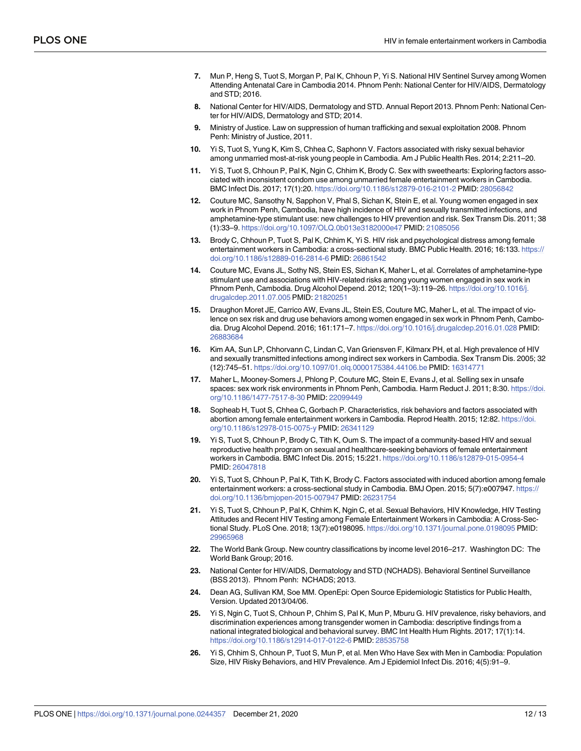- <span id="page-11-0"></span>**[7](#page-1-0).** Mun P, Heng S, Tuot S, Morgan P, Pal K, Chhoun P, Yi S. National HIV Sentinel Survey among Women Attending Antenatal Care in Cambodia 2014. Phnom Penh: National Center for HIV/AIDS, Dermatology and STD; 2016.
- **[8](#page-1-0).** National Center for HIV/AIDS, Dermatology and STD. Annual Report 2013. Phnom Penh: National Center for HIV/AIDS, Dermatology and STD; 2014.
- **[9](#page-1-0).** Ministry of Justice. Law on suppression of human trafficking and sexual exploitation 2008. Phnom Penh: Ministry of Justice, 2011.
- **[10](#page-1-0).** Yi S, Tuot S, Yung K, Kim S, Chhea C, Saphonn V. Factors associated with risky sexual behavior among unmarried most-at-risk young people in Cambodia. Am J Public Health Res. 2014; 2:211–20.
- **[11](#page-1-0).** Yi S, Tuot S, Chhoun P, Pal K, Ngin C, Chhim K, Brody C. Sex with sweethearts: Exploring factors associated with inconsistent condom use among unmarried female entertainment workers in Cambodia. BMC Infect Dis. 2017; 17(1):20. <https://doi.org/10.1186/s12879-016-2101-2> PMID: [28056842](http://www.ncbi.nlm.nih.gov/pubmed/28056842)
- **[12](#page-2-0).** Couture MC, Sansothy N, Sapphon V, Phal S, Sichan K, Stein E, et al. Young women engaged in sex work in Phnom Penh, Cambodia, have high incidence of HIV and sexually transmitted infections, and amphetamine-type stimulant use: new challenges to HIV prevention and risk. Sex Transm Dis. 2011; 38 (1):33–9. <https://doi.org/10.1097/OLQ.0b013e3182000e47> PMID: [21085056](http://www.ncbi.nlm.nih.gov/pubmed/21085056)
- **13.** Brody C, Chhoun P, Tuot S, Pal K, Chhim K, Yi S. HIV risk and psychological distress among female entertainment workers in Cambodia: a cross-sectional study. BMC Public Health. 2016; 16:133. [https://](https://doi.org/10.1186/s12889-016-2814-6) [doi.org/10.1186/s12889-016-2814-6](https://doi.org/10.1186/s12889-016-2814-6) PMID: [26861542](http://www.ncbi.nlm.nih.gov/pubmed/26861542)
- **[14](#page-8-0).** Couture MC, Evans JL, Sothy NS, Stein ES, Sichan K, Maher L, et al. Correlates of amphetamine-type stimulant use and associations with HIV-related risks among young women engaged in sex work in Phnom Penh, Cambodia. Drug Alcohol Depend. 2012; 120(1–3):119–26. [https://doi.org/10.1016/j.](https://doi.org/10.1016/j.drugalcdep.2011.07.005) [drugalcdep.2011.07.005](https://doi.org/10.1016/j.drugalcdep.2011.07.005) PMID: [21820251](http://www.ncbi.nlm.nih.gov/pubmed/21820251)
- **15.** Draughon Moret JE, Carrico AW, Evans JL, Stein ES, Couture MC, Maher L, et al. The impact of violence on sex risk and drug use behaviors among women engaged in sex work in Phnom Penh, Cambodia. Drug Alcohol Depend. 2016; 161:171–7. <https://doi.org/10.1016/j.drugalcdep.2016.01.028> PMID: [26883684](http://www.ncbi.nlm.nih.gov/pubmed/26883684)
- **[16](#page-8-0).** Kim AA, Sun LP, Chhorvann C, Lindan C, Van Griensven F, Kilmarx PH, et al. High prevalence of HIV and sexually transmitted infections among indirect sex workers in Cambodia. Sex Transm Dis. 2005; 32 (12):745–51. <https://doi.org/10.1097/01.olq.0000175384.44106.be> PMID: [16314771](http://www.ncbi.nlm.nih.gov/pubmed/16314771)
- **[17](#page-2-0).** Maher L, Mooney-Somers J, Phlong P, Couture MC, Stein E, Evans J, et al. Selling sex in unsafe spaces: sex work risk environments in Phnom Penh, Cambodia. Harm Reduct J. 2011; 8:30. [https://doi.](https://doi.org/10.1186/1477-7517-8-30) [org/10.1186/1477-7517-8-30](https://doi.org/10.1186/1477-7517-8-30) PMID: [22099449](http://www.ncbi.nlm.nih.gov/pubmed/22099449)
- **[18](#page-3-0).** Sopheab H, Tuot S, Chhea C, Gorbach P. Characteristics, risk behaviors and factors associated with abortion among female entertainment workers in Cambodia. Reprod Health. 2015; 12:82. [https://doi.](https://doi.org/10.1186/s12978-015-0075-y) [org/10.1186/s12978-015-0075-y](https://doi.org/10.1186/s12978-015-0075-y) PMID: [26341129](http://www.ncbi.nlm.nih.gov/pubmed/26341129)
- **[19](#page-8-0).** Yi S, Tuot S, Chhoun P, Brody C, Tith K, Oum S. The impact of a community-based HIV and sexual reproductive health program on sexual and healthcare-seeking behaviors of female entertainment workers in Cambodia. BMC Infect Dis. 2015; 15:221. <https://doi.org/10.1186/s12879-015-0954-4> PMID: [26047818](http://www.ncbi.nlm.nih.gov/pubmed/26047818)
- **[20](#page-2-0).** Yi S, Tuot S, Chhoun P, Pal K, Tith K, Brody C. Factors associated with induced abortion among female entertainment workers: a cross-sectional study in Cambodia. BMJ Open. 2015; 5(7):e007947. [https://](https://doi.org/10.1136/bmjopen-2015-007947) [doi.org/10.1136/bmjopen-2015-007947](https://doi.org/10.1136/bmjopen-2015-007947) PMID: [26231754](http://www.ncbi.nlm.nih.gov/pubmed/26231754)
- **[21](#page-2-0).** Yi S, Tuot S, Chhoun P, Pal K, Chhim K, Ngin C, et al. Sexual Behaviors, HIV Knowledge, HIV Testing Attitudes and Recent HIV Testing among Female Entertainment Workers in Cambodia: A Cross-Sectional Study. PLoS One. 2018; 13(7):e0198095. <https://doi.org/10.1371/journal.pone.0198095> PMID: [29965968](http://www.ncbi.nlm.nih.gov/pubmed/29965968)
- **[22](#page-2-0).** The World Bank Group. New country classifications by income level 2016–217. Washington DC: The World Bank Group; 2016.
- **[23](#page-2-0).** National Center for HIV/AIDS, Dermatology and STD (NCHADS). Behavioral Sentinel Surveillance (BSS 2013). Phnom Penh: NCHADS; 2013.
- **[24](#page-2-0).** Dean AG, Sullivan KM, Soe MM. OpenEpi: Open Source Epidemiologic Statistics for Public Health, Version. Updated 2013/04/06.
- **[25](#page-3-0).** Yi S, Ngin C, Tuot S, Chhoun P, Chhim S, Pal K, Mun P, Mburu G. HIV prevalence, risky behaviors, and discrimination experiences among transgender women in Cambodia: descriptive findings from a national integrated biological and behavioral survey. BMC Int Health Hum Rights. 2017; 17(1):14. <https://doi.org/10.1186/s12914-017-0122-6> PMID: [28535758](http://www.ncbi.nlm.nih.gov/pubmed/28535758)
- **[26](#page-3-0).** Yi S, Chhim S, Chhoun P, Tuot S, Mun P, et al. Men Who Have Sex with Men in Cambodia: Population Size, HIV Risky Behaviors, and HIV Prevalence. Am J Epidemiol Infect Dis. 2016; 4(5):91–9.